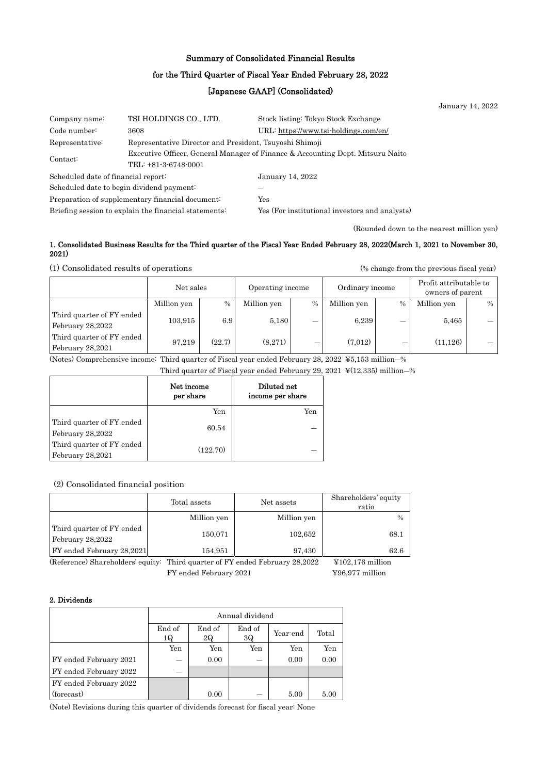## Summary of Consolidated Financial Results

#### for the Third Quarter of Fiscal Year Ended February 28, 2022

### [Japanese GAAP] (Consolidated)

|                                                                            |                        |                                                                                | January 14, 2022 |
|----------------------------------------------------------------------------|------------------------|--------------------------------------------------------------------------------|------------------|
| Company name:                                                              | TSI HOLDINGS CO., LTD. | Stock listing: Tokyo Stock Exchange                                            |                  |
| Code number:                                                               | 3608                   | URL: https://www.tsi-holdings.com/en/                                          |                  |
| Representative Director and President, Tsuyoshi Shimoji<br>Representative: |                        |                                                                                |                  |
| Contact:<br>TEL: +81-3-6748-0001                                           |                        | Executive Officer, General Manager of Finance & Accounting Dept. Mitsuru Naito |                  |
| Scheduled date of financial report:                                        |                        | January 14, 2022                                                               |                  |
| Scheduled date to begin dividend payment:                                  |                        |                                                                                |                  |
| Preparation of supplementary financial document:                           |                        | Yes                                                                            |                  |
| Briefing session to explain the financial statements:                      |                        | Yes (For institutional investors and analysts)                                 |                  |

(Rounded down to the nearest million yen)

#### 1. Consolidated Business Results for the Third quarter of the Fiscal Year Ended February 28, 2022(March 1, 2021 to November 30, 2021)

(1) Consolidated results of operations (% change from the previous fiscal year)

|                                               | Net sales   |        |             | Operating income |             | Ordinary income |             | Profit attributable to<br>owners of parent |  |
|-----------------------------------------------|-------------|--------|-------------|------------------|-------------|-----------------|-------------|--------------------------------------------|--|
|                                               | Million yen | $\%$   | Million yen | $\%$             | Million yen | $\%$            | Million yen | $\%$                                       |  |
| Third quarter of FY ended<br>February 28,2022 | 103,915     | 6.9    | 5.180       | _                | 6.239       | –               | 5,465       |                                            |  |
| Third quarter of FY ended<br>February 28,2021 | 97,219      | (22.7) | (8.271)     | –                | (7.012)     |                 | (11, 126)   |                                            |  |

(Notes) Comprehensive income: Third quarter of Fiscal year ended February 28, 2022 ¥5,153 million―%

Third quarter of Fiscal year ended February 29, 2021 ¥(12,335) million―%

|                                               | Net income<br>per share | Diluted net<br>income per share |
|-----------------------------------------------|-------------------------|---------------------------------|
|                                               | Yen                     | Yen                             |
| Third quarter of FY ended<br>February 28,2022 | 60.54                   |                                 |
| Third quarter of FY ended<br>February 28,2021 | (122.70)                |                                 |

(2) Consolidated financial position

|                                               | Total assets | Net assets  | Shareholders' equity<br>ratio |
|-----------------------------------------------|--------------|-------------|-------------------------------|
|                                               | Million yen  | Million yen | $\frac{0}{0}$                 |
| Third quarter of FY ended<br>February 28,2022 | 150,071      | 102,652     | 68.1                          |
| FY ended February 28,2021                     | 154,951      | 97,430      | 62.6                          |

(Reference) Shareholders' equity: Third quarter of FY ended February 28,2022 ¥102,176 million FY ended February 2021  $\textcircled{496,977}$  million

#### 2. Dividends

|                        | Annual dividend |                                                   |     |      |      |  |  |
|------------------------|-----------------|---------------------------------------------------|-----|------|------|--|--|
|                        | End of<br>1Q    | End of<br>End of<br>Year-end<br>Total<br>2Q<br>3Q |     |      |      |  |  |
|                        | Yen             | Yen                                               | Yen | Yen  | Yen  |  |  |
| FY ended February 2021 |                 | 0.00                                              |     | 0.00 | 0.00 |  |  |
| FY ended February 2022 |                 |                                                   |     |      |      |  |  |
| FY ended February 2022 |                 |                                                   |     |      |      |  |  |
| (forecast)             |                 | 0.00                                              |     | 5.00 | 5.00 |  |  |

(Note) Revisions during this quarter of dividends forecast for fiscal year: None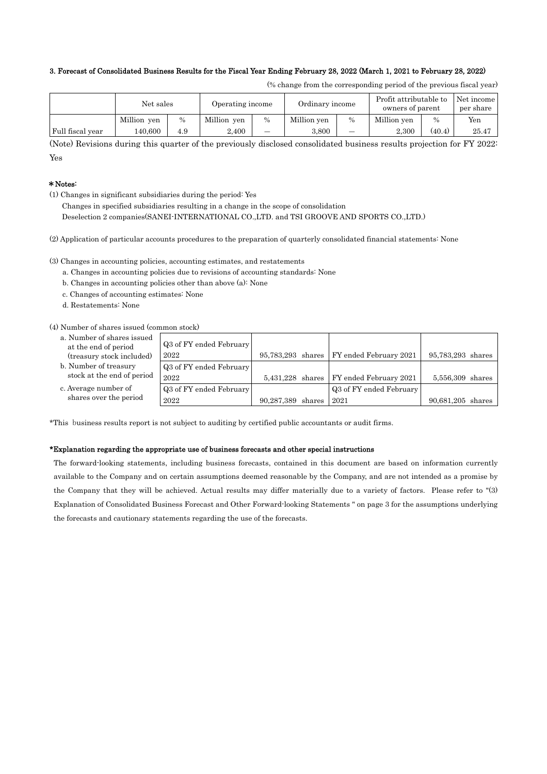#### 3. Forecast of Consolidated Business Results for the Fiscal Year Ending February 28, 2022 (March 1, 2021 to February 28, 2022)

| (% change from the corresponding period of the previous fiscal year) |  |  |  |  |
|----------------------------------------------------------------------|--|--|--|--|
|----------------------------------------------------------------------|--|--|--|--|

|                  | Net sales   |      | Operating income |      |             | Ordinary income |             | Profit attributable to<br>Net income<br>owners of parent |       |
|------------------|-------------|------|------------------|------|-------------|-----------------|-------------|----------------------------------------------------------|-------|
|                  | Million yen | $\%$ | Million yen      | $\%$ | Million yen | $\%$            | Million ven | $\%$                                                     | Yen   |
| Full fiscal year | 140.600     | 4.9  | 2.400            | -    | 3.800       | -               | 2.300       | (40.4)                                                   | 25.47 |

(Note) Revisions during this quarter of the previously disclosed consolidated business results projection for FY 2022: Yes

#### \*Notes:

(1) Changes in significant subsidiaries during the period: Yes

Changes in specified subsidiaries resulting in a change in the scope of consolidation

Deselection 2 companies(SANEI-INTERNATIONAL CO.,LTD. and TSI GROOVE AND SPORTS CO.,LTD.)

(2) Application of particular accounts procedures to the preparation of quarterly consolidated financial statements: None

(3) Changes in accounting policies, accounting estimates, and restatements

- a. Changes in accounting policies due to revisions of accounting standards: None
- b. Changes in accounting policies other than above (a): None
- c. Changes of accounting estimates: None
- d. Restatements: None

(4) Number of shares issued (common stock)

- a. Number of shares issued at the end of period (treasury stock included)
- b. Number of treasury stock at the end of period
- c. Average number of shares over the period

| онншон ѕюскл            |                   |                                            |                   |
|-------------------------|-------------------|--------------------------------------------|-------------------|
| Q3 of FY ended February |                   |                                            |                   |
| 2022                    |                   | 95,783,293 shares   FY ended February 2021 | 95,783,293 shares |
| Q3 of FY ended February |                   |                                            |                   |
| 2022                    |                   | $5,431,228$ shares FY ended February 2021  | 5,556,309 shares  |
| Q3 of FY ended February |                   | Q3 of FY ended February                    |                   |
| 2022                    | 90,287,389 shares | 2021                                       | 90,681,205 shares |

\*This business results report is not subject to auditing by certified public accountants or audit firms.

#### \*Explanation regarding the appropriate use of business forecasts and other special instructions

The forward-looking statements, including business forecasts, contained in this document are based on information currently available to the Company and on certain assumptions deemed reasonable by the Company, and are not intended as a promise by the Company that they will be achieved. Actual results may differ materially due to a variety of factors. Please refer to "(3) Explanation of Consolidated Business Forecast and Other Forward-looking Statements " on page 3 for the assumptions underlying the forecasts and cautionary statements regarding the use of the forecasts.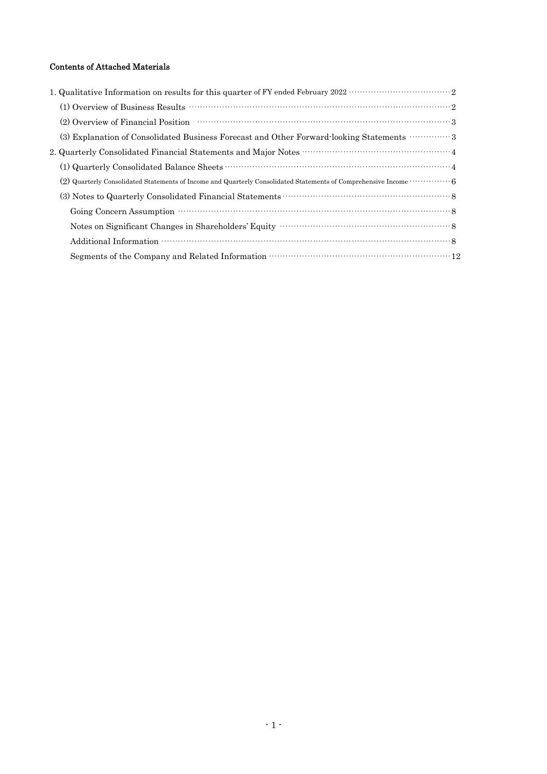## Contents of Attached Materials

| (2) Overview of Financial Position (2) Overview of Financial Position (3) Overview of Financial Position (3)     |
|------------------------------------------------------------------------------------------------------------------|
| (3) Explanation of Consolidated Business Forecast and Other Forward looking Statements 3                         |
|                                                                                                                  |
|                                                                                                                  |
| (2) Quarterly Consolidated Statements of Income and Quarterly Consolidated Statements of Comprehensive Income  6 |
|                                                                                                                  |
|                                                                                                                  |
|                                                                                                                  |
|                                                                                                                  |
|                                                                                                                  |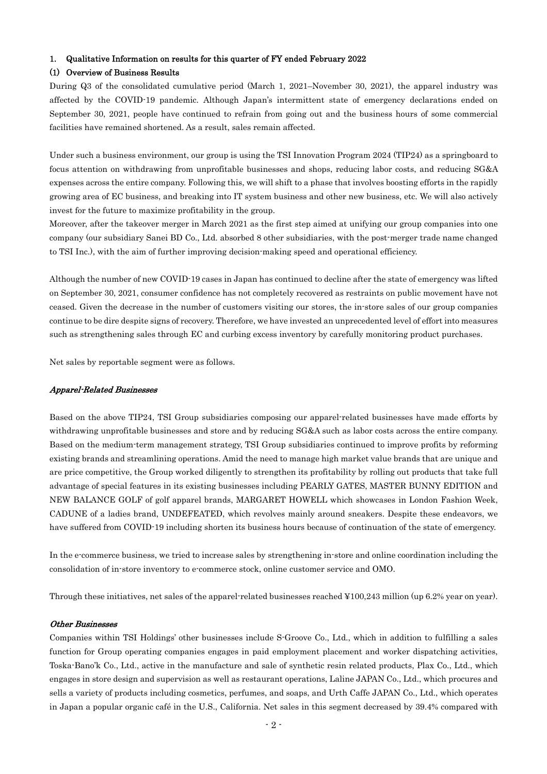#### 1. Qualitative Information on results for this quarter of FY ended February 2022

#### (1) Overview of Business Results

During Q3 of the consolidated cumulative period (March 1, 2021–November 30, 2021), the apparel industry was affected by the COVID-19 pandemic. Although Japan's intermittent state of emergency declarations ended on September 30, 2021, people have continued to refrain from going out and the business hours of some commercial facilities have remained shortened. As a result, sales remain affected.

Under such a business environment, our group is using the TSI Innovation Program 2024 (TIP24) as a springboard to focus attention on withdrawing from unprofitable businesses and shops, reducing labor costs, and reducing SG&A expenses across the entire company. Following this, we will shift to a phase that involves boosting efforts in the rapidly growing area of EC business, and breaking into IT system business and other new business, etc. We will also actively invest for the future to maximize profitability in the group.

Moreover, after the takeover merger in March 2021 as the first step aimed at unifying our group companies into one company (our subsidiary Sanei BD Co., Ltd. absorbed 8 other subsidiaries, with the post-merger trade name changed to TSI Inc.), with the aim of further improving decision-making speed and operational efficiency.

Although the number of new COVID-19 cases in Japan has continued to decline after the state of emergency was lifted on September 30, 2021, consumer confidence has not completely recovered as restraints on public movement have not ceased. Given the decrease in the number of customers visiting our stores, the in-store sales of our group companies continue to be dire despite signs of recovery. Therefore, we have invested an unprecedented level of effort into measures such as strengthening sales through EC and curbing excess inventory by carefully monitoring product purchases.

Net sales by reportable segment were as follows.

#### Apparel-Related Businesses

Based on the above TIP24, TSI Group subsidiaries composing our apparel-related businesses have made efforts by withdrawing unprofitable businesses and store and by reducing SG&A such as labor costs across the entire company. Based on the medium-term management strategy, TSI Group subsidiaries continued to improve profits by reforming existing brands and streamlining operations. Amid the need to manage high market value brands that are unique and are price competitive, the Group worked diligently to strengthen its profitability by rolling out products that take full advantage of special features in its existing businesses including PEARLY GATES, MASTER BUNNY EDITION and NEW BALANCE GOLF of golf apparel brands, MARGARET HOWELL which showcases in London Fashion Week, CADUNE of a ladies brand, UNDEFEATED, which revolves mainly around sneakers. Despite these endeavors, we have suffered from COVID-19 including shorten its business hours because of continuation of the state of emergency.

In the e-commerce business, we tried to increase sales by strengthening in-store and online coordination including the consolidation of in-store inventory to e-commerce stock, online customer service and OMO.

Through these initiatives, net sales of the apparel-related businesses reached ¥100,243 million (up 6.2% year on year).

#### Other Businesses

Companies within TSI Holdings' other businesses include S-Groove Co., Ltd., which in addition to fulfilling a sales function for Group operating companies engages in paid employment placement and worker dispatching activities, Toska-Bano'k Co., Ltd., active in the manufacture and sale of synthetic resin related products, Plax Co., Ltd., which engages in store design and supervision as well as restaurant operations, Laline JAPAN Co., Ltd., which procures and sells a variety of products including cosmetics, perfumes, and soaps, and Urth Caffe JAPAN Co., Ltd., which operates in Japan a popular organic café in the U.S., California. Net sales in this segment decreased by 39.4% compared with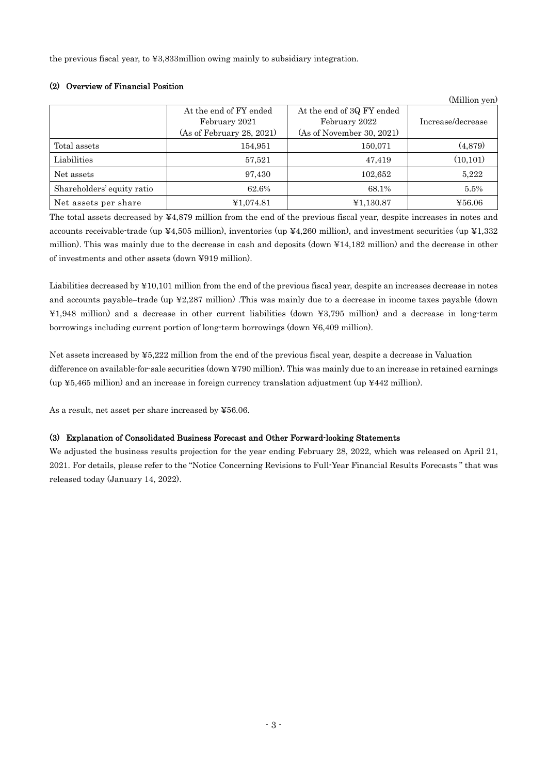the previous fiscal year, to ¥3,833million owing mainly to subsidiary integration.

## (2) Overview of Financial Position

|                            |                                                                      |                                                                         | (Million yen)     |
|----------------------------|----------------------------------------------------------------------|-------------------------------------------------------------------------|-------------------|
|                            | At the end of FY ended<br>February 2021<br>(As of February 28, 2021) | At the end of 3Q FY ended<br>February 2022<br>(As of November 30, 2021) | Increase/decrease |
| Total assets               | 154,951                                                              | 150,071                                                                 | (4,879)           |
| Liabilities                | 57,521                                                               | 47,419                                                                  | (10, 101)         |
| Net assets                 | 97,430                                                               | 102,652                                                                 | 5,222             |
| Shareholders' equity ratio | 62.6%                                                                | 68.1%                                                                   | 5.5%              |
| Net assets per share       | ¥1,074.81                                                            | ¥1,130.87                                                               | ¥56.06            |

The total assets decreased by ¥4,879 million from the end of the previous fiscal year, despite increases in notes and accounts receivable-trade (up ¥4,505 million), inventories (up ¥4,260 million), and investment securities (up ¥1,332 million). This was mainly due to the decrease in cash and deposits (down ¥14,182 million) and the decrease in other of investments and other assets (down ¥919 million).

Liabilities decreased by ¥10,101 million from the end of the previous fiscal year, despite an increases decrease in notes and accounts payable–trade (up ¥2,287 million) .This was mainly due to a decrease in income taxes payable (down ¥1,948 million) and a decrease in other current liabilities (down ¥3,795 million) and a decrease in long-term borrowings including current portion of long-term borrowings (down ¥6,409 million).

Net assets increased by ¥5,222 million from the end of the previous fiscal year, despite a decrease in Valuation difference on available-for-sale securities (down ¥790 million). This was mainly due to an increase in retained earnings (up ¥5,465 million) and an increase in foreign currency translation adjustment (up ¥442 million).

As a result, net asset per share increased by ¥56.06.

## (3) Explanation of Consolidated Business Forecast and Other Forward-looking Statements

We adjusted the business results projection for the year ending February 28, 2022, which was released on April 21, 2021. For details, please refer to the "Notice Concerning Revisions to Full-Year Financial Results Forecasts " that was released today (January 14, 2022).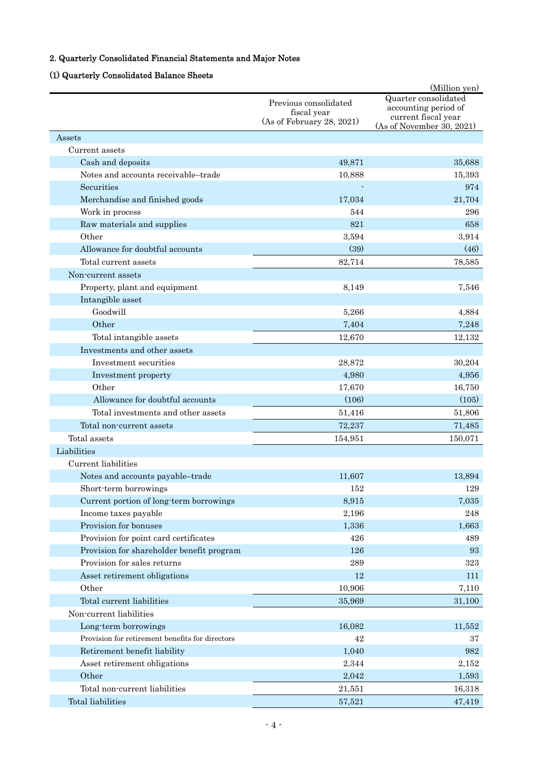# 2. Quarterly Consolidated Financial Statements and Major Notes

# (1) Quarterly Consolidated Balance Sheets

|                                                 |                                                                   | (Million yen)                                                                                    |
|-------------------------------------------------|-------------------------------------------------------------------|--------------------------------------------------------------------------------------------------|
|                                                 | Previous consolidated<br>fiscal year<br>(As of February 28, 2021) | Quarter consolidated<br>accounting period of<br>current fiscal year<br>(As of November 30, 2021) |
| Assets                                          |                                                                   |                                                                                                  |
| Current assets                                  |                                                                   |                                                                                                  |
| Cash and deposits                               | 49,871                                                            | 35,688                                                                                           |
| Notes and accounts receivable-trade             | 10,888                                                            | 15,393                                                                                           |
| Securities                                      |                                                                   | 974                                                                                              |
| Merchandise and finished goods                  | 17,034                                                            | 21,704                                                                                           |
| Work in process                                 | 544                                                               | 296                                                                                              |
| Raw materials and supplies                      | 821                                                               | 658                                                                                              |
| Other                                           | 3,594                                                             | 3,914                                                                                            |
| Allowance for doubtful accounts                 | (39)                                                              | (46)                                                                                             |
| Total current assets                            | 82,714                                                            | 78,585                                                                                           |
| Non-current assets                              |                                                                   |                                                                                                  |
| Property, plant and equipment                   | 8,149                                                             | 7.546                                                                                            |
| Intangible asset                                |                                                                   |                                                                                                  |
| Goodwill                                        | 5,266                                                             | 4,884                                                                                            |
| Other                                           | 7,404                                                             | 7,248                                                                                            |
| Total intangible assets                         | 12,670                                                            | 12,132                                                                                           |
| Investments and other assets                    |                                                                   |                                                                                                  |
| Investment securities                           | 28,872                                                            | 30,204                                                                                           |
| Investment property                             | 4,980                                                             | 4,956                                                                                            |
| Other                                           | 17,670                                                            | 16,750                                                                                           |
| Allowance for doubtful accounts                 | (106)                                                             | (105)                                                                                            |
| Total investments and other assets              | 51,416                                                            | 51,806                                                                                           |
| Total non-current assets                        | 72,237                                                            | 71,485                                                                                           |
| Total assets                                    | 154,951                                                           | 150,071                                                                                          |
| Liabilities                                     |                                                                   |                                                                                                  |
| Current liabilities                             |                                                                   |                                                                                                  |
| Notes and accounts payable-trade                | 11,607                                                            | 13,894                                                                                           |
| Short-term borrowings                           | 152                                                               | 129                                                                                              |
| Current portion of long-term borrowings         | 8,915                                                             | 7,035                                                                                            |
| Income taxes payable                            | 2,196                                                             | 248                                                                                              |
| Provision for bonuses                           | 1,336                                                             | 1,663                                                                                            |
| Provision for point card certificates           | 426                                                               | 489                                                                                              |
| Provision for shareholder benefit program       | 126                                                               | 93                                                                                               |
| Provision for sales returns                     | 289                                                               | $323\,$                                                                                          |
| Asset retirement obligations                    | $12\,$                                                            | 111                                                                                              |
| Other                                           | 10,906                                                            | 7,110                                                                                            |
| Total current liabilities                       | 35,969                                                            | 31,100                                                                                           |
| Non-current liabilities                         |                                                                   |                                                                                                  |
| Long-term borrowings                            | 16,082                                                            | 11,552                                                                                           |
| Provision for retirement benefits for directors | 42                                                                | 37                                                                                               |
| Retirement benefit liability                    | 1,040                                                             | 982                                                                                              |
| Asset retirement obligations                    | 2,344                                                             | 2,152                                                                                            |
| Other                                           | 2,042                                                             | 1,593                                                                                            |
| Total non-current liabilities                   | 21,551                                                            | 16,318                                                                                           |
| Total liabilities                               | 57,521                                                            | 47,419                                                                                           |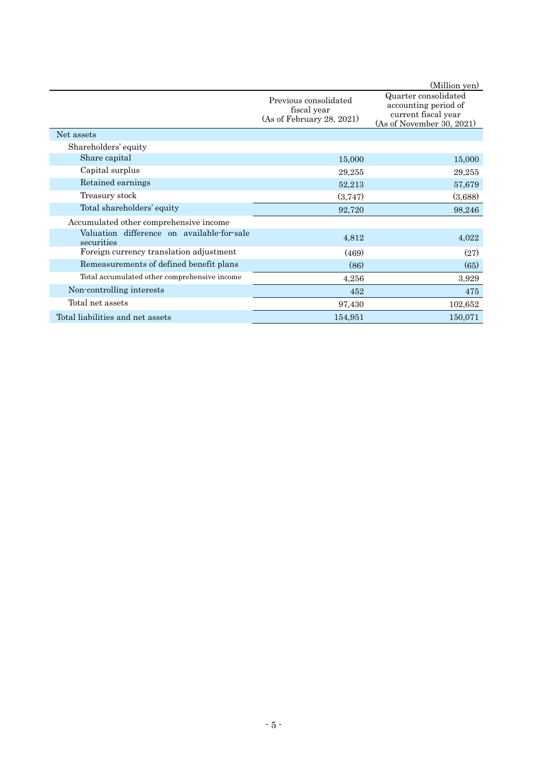|                                                          |                                                                   | (Million yen)                                                                                    |
|----------------------------------------------------------|-------------------------------------------------------------------|--------------------------------------------------------------------------------------------------|
|                                                          | Previous consolidated<br>fiscal year<br>(As of February 28, 2021) | Quarter consolidated<br>accounting period of<br>current fiscal year<br>(As of November 30, 2021) |
| Net assets                                               |                                                                   |                                                                                                  |
| Shareholders' equity                                     |                                                                   |                                                                                                  |
| Share capital                                            | 15,000                                                            | 15,000                                                                                           |
| Capital surplus                                          | 29,255                                                            | 29,255                                                                                           |
| Retained earnings                                        | 52,213                                                            | 57,679                                                                                           |
| Treasury stock                                           | (3,747)                                                           | (3,688)                                                                                          |
| Total shareholders' equity                               | 92,720                                                            | 98,246                                                                                           |
| Accumulated other comprehensive income                   |                                                                   |                                                                                                  |
| Valuation difference on available-for-sale<br>securities | 4,812                                                             | 4,022                                                                                            |
| Foreign currency translation adjustment                  | (469)                                                             | (27)                                                                                             |
| Remeasurements of defined benefit plans                  | (86)                                                              | (65)                                                                                             |
| Total accumulated other comprehensive income             | 4,256                                                             | 3,929                                                                                            |
| Non-controlling interests                                | 452                                                               | 475                                                                                              |
| Total net assets                                         | 97,430                                                            | 102,652                                                                                          |
| Total liabilities and net assets                         | 154,951                                                           | 150,071                                                                                          |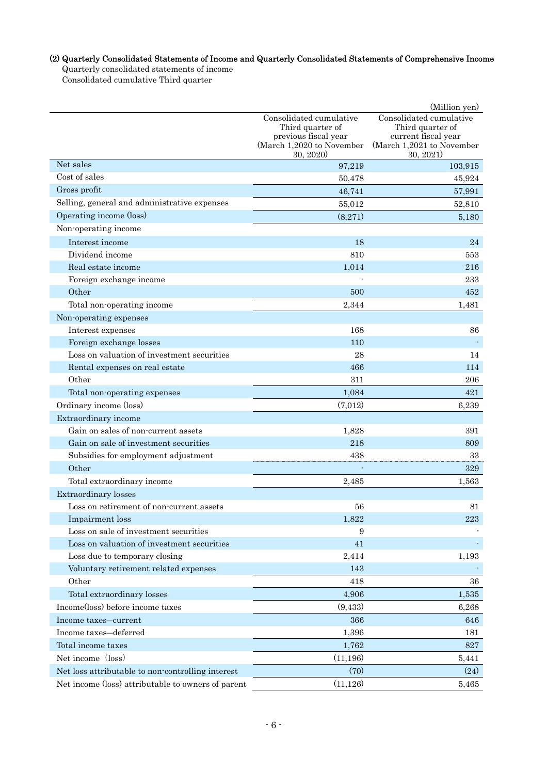# (2) Quarterly Consolidated Statements of Income and Quarterly Consolidated Statements of Comprehensive Income

Quarterly consolidated statements of income

Consolidated cumulative Third quarter

|                                                    |                                          | (Million yen)                           |  |
|----------------------------------------------------|------------------------------------------|-----------------------------------------|--|
|                                                    | Consolidated cumulative                  | Consolidated cumulative                 |  |
|                                                    | Third quarter of<br>previous fiscal year | Third quarter of<br>current fiscal year |  |
|                                                    | (March 1,2020 to November                | (March 1,2021 to November               |  |
| Net sales                                          | 30, 2020                                 | 30, 2021)                               |  |
| Cost of sales                                      | 97,219                                   | 103,915                                 |  |
|                                                    | 50,478                                   | 45,924                                  |  |
| Gross profit                                       | 46,741                                   | 57,991                                  |  |
| Selling, general and administrative expenses       | 55,012                                   | 52,810                                  |  |
| Operating income (loss)                            | (8,271)                                  | 5,180                                   |  |
| Non-operating income                               |                                          |                                         |  |
| Interest income                                    | 18                                       | 24                                      |  |
| Dividend income                                    | 810                                      | 553                                     |  |
| Real estate income                                 | 1,014                                    | 216                                     |  |
| Foreign exchange income                            |                                          | 233                                     |  |
| Other                                              | 500                                      | 452                                     |  |
| Total non-operating income                         | 2,344                                    | 1,481                                   |  |
| Non-operating expenses                             |                                          |                                         |  |
| Interest expenses                                  | 168                                      | 86                                      |  |
| Foreign exchange losses                            | 110                                      |                                         |  |
| Loss on valuation of investment securities         | 28                                       | 14                                      |  |
| Rental expenses on real estate                     | 466                                      | 114                                     |  |
| Other                                              | 311                                      | 206                                     |  |
| Total non-operating expenses                       | 1,084                                    | 421                                     |  |
| Ordinary income (loss)                             | (7,012)                                  | 6,239                                   |  |
| Extraordinary income                               |                                          |                                         |  |
| Gain on sales of non-current assets                | 1,828                                    | 391                                     |  |
| Gain on sale of investment securities              | 218                                      | 809                                     |  |
| Subsidies for employment adjustment                | 438                                      | 33                                      |  |
| Other                                              |                                          | 329                                     |  |
| Total extraordinary income                         | 2,485                                    | 1,563                                   |  |
| <b>Extraordinary</b> losses                        |                                          |                                         |  |
| Loss on retirement of non-current assets           | 56                                       | 81                                      |  |
| Impairment loss                                    | 1,822                                    | 223                                     |  |
| Loss on sale of investment securities              | 9                                        |                                         |  |
| Loss on valuation of investment securities         | 41                                       |                                         |  |
| Loss due to temporary closing                      | 2,414                                    | 1,193                                   |  |
| Voluntary retirement related expenses              | 143                                      |                                         |  |
| Other                                              | 418                                      | 36                                      |  |
| Total extraordinary losses                         | 4,906                                    | 1,535                                   |  |
| Income(loss) before income taxes                   | (9,433)                                  | 6,268                                   |  |
| Income taxes-current                               | 366                                      | 646                                     |  |
| Income taxes-deferred                              | 1,396                                    | 181                                     |  |
| Total income taxes                                 | 1,762                                    | 827                                     |  |
| Net income (loss)                                  | (11, 196)                                | 5,441                                   |  |
| Net loss attributable to non-controlling interest  | (70)                                     | (24)                                    |  |
| Net income (loss) attributable to owners of parent | (11, 126)                                | 5,465                                   |  |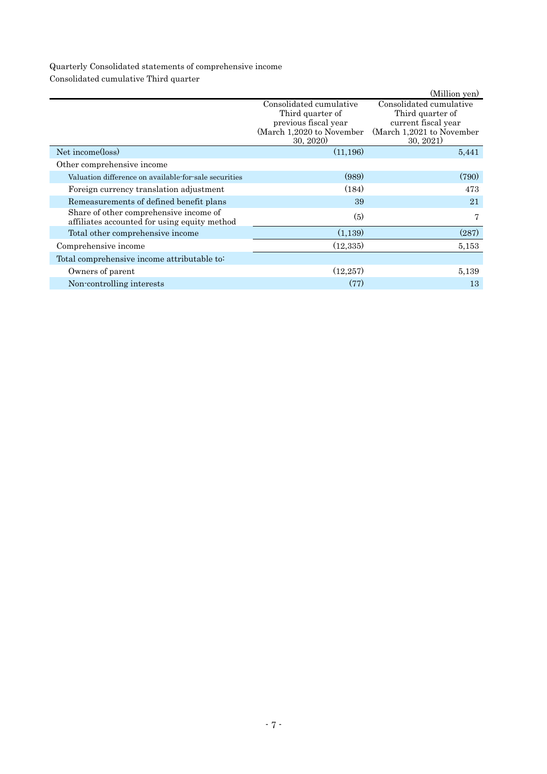## Quarterly Consolidated statements of comprehensive income Consolidated cumulative Third quarter

|                                                                                        |                                                                                                              | (Million yen)                                                                                                |
|----------------------------------------------------------------------------------------|--------------------------------------------------------------------------------------------------------------|--------------------------------------------------------------------------------------------------------------|
|                                                                                        | Consolidated cumulative<br>Third quarter of<br>previous fiscal year<br>(March 1,2020 to November<br>30, 2020 | Consolidated cumulative<br>Third quarter of<br>current fiscal year<br>(March 1,2021 to November<br>30, 2021) |
| Net income(loss)                                                                       | (11, 196)                                                                                                    | 5,441                                                                                                        |
| Other comprehensive income                                                             |                                                                                                              |                                                                                                              |
| Valuation difference on available for sale securities                                  | (989)                                                                                                        | (790)                                                                                                        |
| Foreign currency translation adjustment                                                | (184)                                                                                                        | 473                                                                                                          |
| Remeasurements of defined benefit plans                                                | 39                                                                                                           | 21                                                                                                           |
| Share of other comprehensive income of<br>affiliates accounted for using equity method | (5)                                                                                                          | 7                                                                                                            |
| Total other comprehensive income                                                       | (1,139)                                                                                                      | (287)                                                                                                        |
| Comprehensive income                                                                   | (12, 335)                                                                                                    | 5,153                                                                                                        |
| Total comprehensive income attributable to:                                            |                                                                                                              |                                                                                                              |
| Owners of parent                                                                       | (12, 257)                                                                                                    | 5,139                                                                                                        |
| Non-controlling interests                                                              | (77)                                                                                                         | 13                                                                                                           |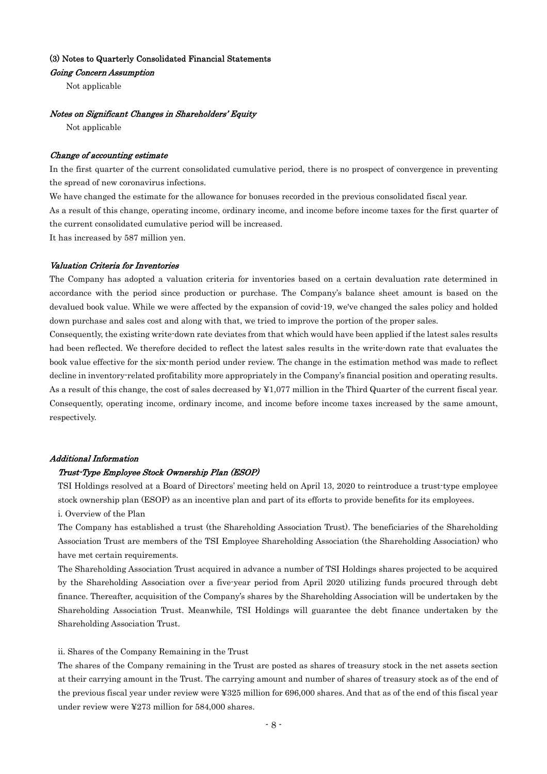#### (3) Notes to Quarterly Consolidated Financial Statements

Going Concern Assumption

Not applicable

#### Notes on Significant Changes in Shareholders' Equity

Not applicable

#### Change of accounting estimate

In the first quarter of the current consolidated cumulative period, there is no prospect of convergence in preventing the spread of new coronavirus infections.

We have changed the estimate for the allowance for bonuses recorded in the previous consolidated fiscal year. As a result of this change, operating income, ordinary income, and income before income taxes for the first quarter of the current consolidated cumulative period will be increased.

It has increased by 587 million yen.

#### Valuation Criteria for Inventories

The Company has adopted a valuation criteria for inventories based on a certain devaluation rate determined in accordance with the period since production or purchase. The Company's balance sheet amount is based on the devalued book value. While we were affected by the expansion of covid-19, we've changed the sales policy and holded down purchase and sales cost and along with that, we tried to improve the portion of the proper sales.

Consequently, the existing write-down rate deviates from that which would have been applied if the latest sales results had been reflected. We therefore decided to reflect the latest sales results in the write-down rate that evaluates the book value effective for the six-month period under review. The change in the estimation method was made to reflect decline in inventory-related profitability more appropriately in the Company's financial position and operating results. As a result of this change, the cost of sales decreased by ¥1,077 million in the Third Quarter of the current fiscal year. Consequently, operating income, ordinary income, and income before income taxes increased by the same amount, respectively.

#### Additional Information

#### Trust-Type Employee Stock Ownership Plan (ESOP)

TSI Holdings resolved at a Board of Directors' meeting held on April 13, 2020 to reintroduce a trust-type employee stock ownership plan (ESOP) as an incentive plan and part of its efforts to provide benefits for its employees.

#### i. Overview of the Plan

The Company has established a trust (the Shareholding Association Trust). The beneficiaries of the Shareholding Association Trust are members of the TSI Employee Shareholding Association (the Shareholding Association) who have met certain requirements.

The Shareholding Association Trust acquired in advance a number of TSI Holdings shares projected to be acquired by the Shareholding Association over a five-year period from April 2020 utilizing funds procured through debt finance. Thereafter, acquisition of the Company's shares by the Shareholding Association will be undertaken by the Shareholding Association Trust. Meanwhile, TSI Holdings will guarantee the debt finance undertaken by the Shareholding Association Trust.

#### ii. Shares of the Company Remaining in the Trust

The shares of the Company remaining in the Trust are posted as shares of treasury stock in the net assets section at their carrying amount in the Trust. The carrying amount and number of shares of treasury stock as of the end of the previous fiscal year under review were ¥325 million for 696,000 shares. And that as of the end of this fiscal year under review were ¥273 million for 584,000 shares.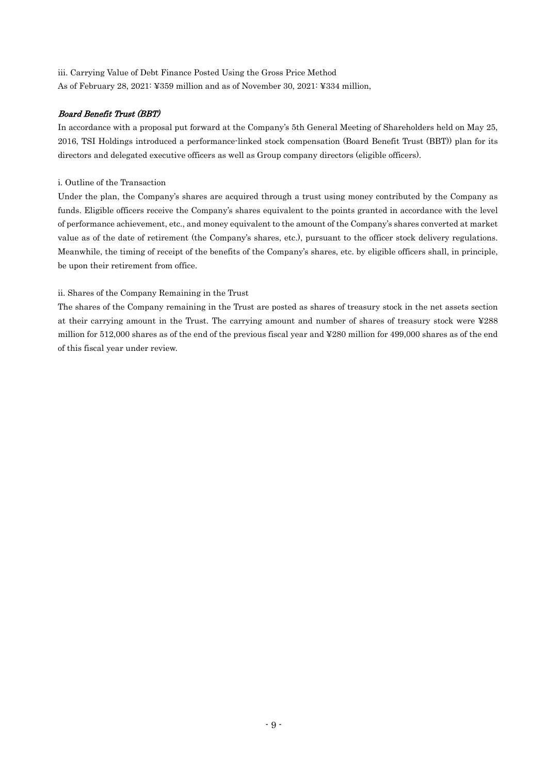iii. Carrying Value of Debt Finance Posted Using the Gross Price Method As of February 28, 2021: ¥359 million and as of November 30, 2021: ¥334 million,

## Board Benefit Trust (BBT)

In accordance with a proposal put forward at the Company's 5th General Meeting of Shareholders held on May 25, 2016, TSI Holdings introduced a performance-linked stock compensation (Board Benefit Trust (BBT)) plan for its directors and delegated executive officers as well as Group company directors (eligible officers).

### i. Outline of the Transaction

Under the plan, the Company's shares are acquired through a trust using money contributed by the Company as funds. Eligible officers receive the Company's shares equivalent to the points granted in accordance with the level of performance achievement, etc., and money equivalent to the amount of the Company's shares converted at market value as of the date of retirement (the Company's shares, etc.), pursuant to the officer stock delivery regulations. Meanwhile, the timing of receipt of the benefits of the Company's shares, etc. by eligible officers shall, in principle, be upon their retirement from office.

## ii. Shares of the Company Remaining in the Trust

The shares of the Company remaining in the Trust are posted as shares of treasury stock in the net assets section at their carrying amount in the Trust. The carrying amount and number of shares of treasury stock were ¥288 million for 512,000 shares as of the end of the previous fiscal year and ¥280 million for 499,000 shares as of the end of this fiscal year under review.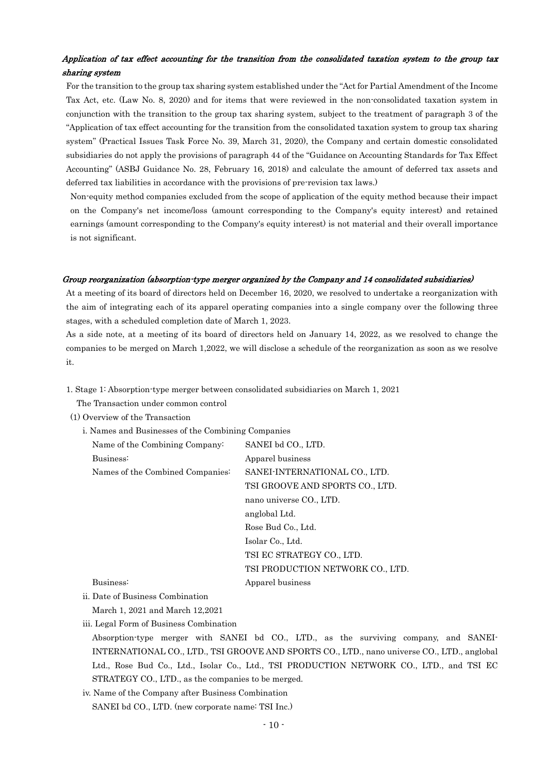## Application of tax effect accounting for the transition from the consolidated taxation system to the group tax sharing system

For the transition to the group tax sharing system established under the "Act for Partial Amendment of the Income Tax Act, etc. (Law No. 8, 2020) and for items that were reviewed in the non-consolidated taxation system in conjunction with the transition to the group tax sharing system, subject to the treatment of paragraph 3 of the "Application of tax effect accounting for the transition from the consolidated taxation system to group tax sharing system" (Practical Issues Task Force No. 39, March 31, 2020), the Company and certain domestic consolidated subsidiaries do not apply the provisions of paragraph 44 of the "Guidance on Accounting Standards for Tax Effect Accounting" (ASBJ Guidance No. 28, February 16, 2018) and calculate the amount of deferred tax assets and deferred tax liabilities in accordance with the provisions of pre-revision tax laws.)

Non-equity method companies excluded from the scope of application of the equity method because their impact on the Company's net income/loss (amount corresponding to the Company's equity interest) and retained earnings (amount corresponding to the Company's equity interest) is not material and their overall importance is not significant.

#### Group reorganization (absorption-type merger organized by the Company and 14 consolidated subsidiaries)

At a meeting of its board of directors held on December 16, 2020, we resolved to undertake a reorganization with the aim of integrating each of its apparel operating companies into a single company over the following three stages, with a scheduled completion date of March 1, 2023.

As a side note, at a meeting of its board of directors held on January 14, 2022, as we resolved to change the companies to be merged on March 1,2022, we will disclose a schedule of the reorganization as soon as we resolve it.

1. Stage 1: Absorption-type merger between consolidated subsidiaries on March 1, 2021

The Transaction under common control

(1) Overview of the Transaction

| i. Names and Businesses of the Combining Companies |                                  |
|----------------------------------------------------|----------------------------------|
| Name of the Combining Company:                     | SANEI bd CO., LTD.               |
| Business:                                          | Apparel business                 |
| Names of the Combined Companies:                   | SANEI-INTERNATIONAL CO., LTD.    |
|                                                    | TSI GROOVE AND SPORTS CO., LTD.  |
|                                                    | nano universe CO., LTD.          |
|                                                    | anglobal Ltd.                    |
|                                                    | Rose Bud Co., Ltd.               |
|                                                    | Isolar Co., Ltd.                 |
|                                                    | TSI EC STRATEGY CO., LTD.        |
|                                                    | TSI PRODUCTION NETWORK CO., LTD. |
| Business:                                          | Apparel business                 |

ii. Date of Business Combination

March 1, 2021 and March 12,2021

iii. Legal Form of Business Combination

Absorption-type merger with SANEI bd CO., LTD., as the surviving company, and SANEI-INTERNATIONAL CO., LTD., TSI GROOVE AND SPORTS CO., LTD., nano universe CO., LTD., anglobal Ltd., Rose Bud Co., Ltd., Isolar Co., Ltd., TSI PRODUCTION NETWORK CO., LTD., and TSI EC STRATEGY CO., LTD., as the companies to be merged.

iv. Name of the Company after Business Combination SANEI bd CO., LTD. (new corporate name: TSI Inc.)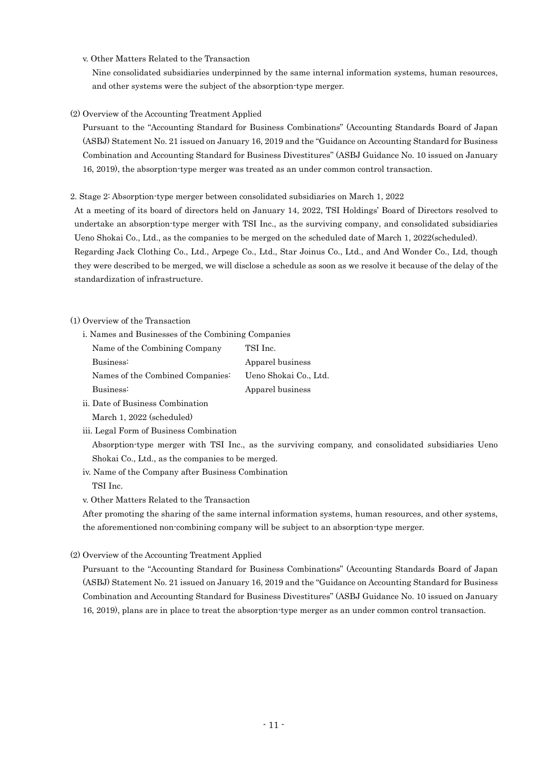v. Other Matters Related to the Transaction

Nine consolidated subsidiaries underpinned by the same internal information systems, human resources, and other systems were the subject of the absorption-type merger.

#### (2) Overview of the Accounting Treatment Applied

Pursuant to the "Accounting Standard for Business Combinations" (Accounting Standards Board of Japan (ASBJ) Statement No. 21 issued on January 16, 2019 and the "Guidance on Accounting Standard for Business Combination and Accounting Standard for Business Divestitures" (ASBJ Guidance No. 10 issued on January 16, 2019), the absorption-type merger was treated as an under common control transaction.

#### 2. Stage 2: Absorption-type merger between consolidated subsidiaries on March 1, 2022

At a meeting of its board of directors held on January 14, 2022, TSI Holdings' Board of Directors resolved to undertake an absorption-type merger with TSI Inc., as the surviving company, and consolidated subsidiaries Ueno Shokai Co., Ltd., as the companies to be merged on the scheduled date of March 1, 2022(scheduled). Regarding Jack Clothing Co., Ltd., Arpege Co., Ltd., Star Joinus Co., Ltd., and And Wonder Co., Ltd, though

they were described to be merged, we will disclose a schedule as soon as we resolve it because of the delay of the standardization of infrastructure.

### (1) Overview of the Transaction

i. Names and Businesses of the Combining Companies

| Name of the Combining Company    | TSI Inc.              |
|----------------------------------|-----------------------|
| Business:                        | Apparel business      |
| Names of the Combined Companies: | Ueno Shokai Co., Ltd. |
| Business:                        | Apparel business      |
|                                  |                       |

- ii. Date of Business Combination March 1, 2022 (scheduled)
- iii. Legal Form of Business Combination

Absorption-type merger with TSI Inc., as the surviving company, and consolidated subsidiaries Ueno Shokai Co., Ltd., as the companies to be merged.

iv. Name of the Company after Business Combination TSI Inc.

v. Other Matters Related to the Transaction

After promoting the sharing of the same internal information systems, human resources, and other systems, the aforementioned non-combining company will be subject to an absorption-type merger.

#### (2) Overview of the Accounting Treatment Applied

Pursuant to the "Accounting Standard for Business Combinations" (Accounting Standards Board of Japan (ASBJ) Statement No. 21 issued on January 16, 2019 and the "Guidance on Accounting Standard for Business Combination and Accounting Standard for Business Divestitures" (ASBJ Guidance No. 10 issued on January 16, 2019), plans are in place to treat the absorption-type merger as an under common control transaction.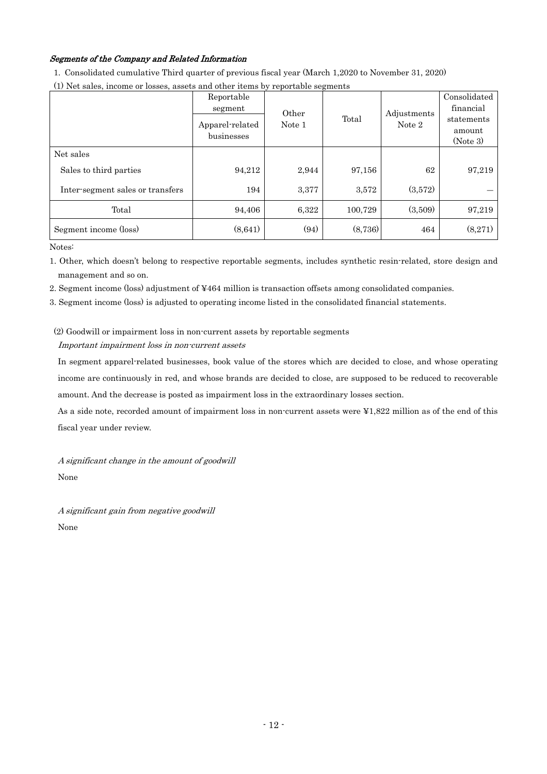## Segments of the Company and Related Information

1. Consolidated cumulative Third quarter of previous fiscal year (March 1,2020 to November 31, 2020)

| (1) Net sales, income or losses, assets and other items by reportable segments |  |  |
|--------------------------------------------------------------------------------|--|--|
|                                                                                |  |  |

|                                  | Reportable<br>segment<br>Apparel-related<br>businesses | Other<br>Note 1 | Total   | Adjustments<br>Note 2 | Consolidated<br>financial<br>statements<br>amount<br>(Note 3) |
|----------------------------------|--------------------------------------------------------|-----------------|---------|-----------------------|---------------------------------------------------------------|
| Net sales                        |                                                        |                 |         |                       |                                                               |
| Sales to third parties           | 94,212                                                 | 2,944           | 97,156  | 62                    | 97,219                                                        |
| Inter-segment sales or transfers | 194                                                    | 3,377           | 3,572   | (3,572)               |                                                               |
| Total                            | 94.406                                                 | 6,322           | 100,729 | (3,509)               | 97,219                                                        |
| Segment income (loss)            | (8,641)                                                | (94)            | (8,736) | 464                   | (8,271)                                                       |

Notes:

1. Other, which doesn't belong to respective reportable segments, includes synthetic resin-related, store design and management and so on.

2. Segment income (loss) adjustment of ¥464 million is transaction offsets among consolidated companies.

3. Segment income (loss) is adjusted to operating income listed in the consolidated financial statements.

## (2) Goodwill or impairment loss in non-current assets by reportable segments Important impairment loss in non-current assets

In segment apparel-related businesses, book value of the stores which are decided to close, and whose operating income are continuously in red, and whose brands are decided to close, are supposed to be reduced to recoverable amount. And the decrease is posted as impairment loss in the extraordinary losses section.

As a side note, recorded amount of impairment loss in non-current assets were ¥1,822 million as of the end of this fiscal year under review.

A significant change in the amount of goodwill None

A significant gain from negative goodwill None